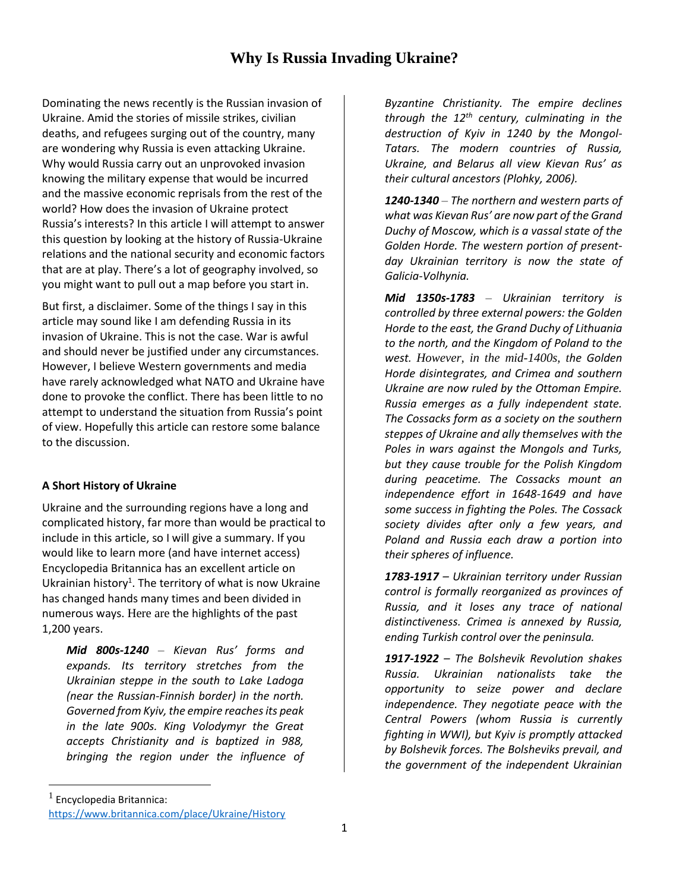# **Why Is Russia Invading Ukraine?**

Dominating the news recently is the Russian invasion of Ukraine. Amid the stories of missile strikes, civilian deaths, and refugees surging out of the country, many are wondering why Russia is even attacking Ukraine. Why would Russia carry out an unprovoked invasion knowing the military expense that would be incurred and the massive economic reprisals from the rest of the world? How does the invasion of Ukraine protect Russia's interests? In this article I will attempt to answer this question by looking at the history of Russia-Ukraine relations and the national security and economic factors that are at play. There's a lot of geography involved, so you might want to pull out a map before you start in.

But first, a disclaimer. Some of the things I say in this article may sound like I am defending Russia in its invasion of Ukraine. This is not the case. War is awful and should never be justified under any circumstances. However, I believe Western governments and media have rarely acknowledged what NATO and Ukraine have done to provoke the conflict. There has been little to no attempt to understand the situation from Russia's point of view. Hopefully this article can restore some balance to the discussion.

# **A Short History of Ukraine**

Ukraine and the surrounding regions have a long and complicated history, far more than would be practical to include in this article, so I will give a summary. If you would like to learn more (and have internet access) Encyclopedia Britannica has an excellent article on Ukrainian history<sup>1</sup>. The territory of what is now Ukraine has changed hands many times and been divided in numerous ways. Here are the highlights of the past 1,200 years.

*Mid 800s-1240 – Kievan Rus' forms and expands. Its territory stretches from the Ukrainian steppe in the south to Lake Ladoga (near the Russian-Finnish border) in the north. Governed from Kyiv, the empire reaches its peak in the late 900s. King Volodymyr the Great accepts Christianity and is baptized in 988, bringing the region under the influence of* 

*Byzantine Christianity. The empire declines through the 12th century, culminating in the destruction of Kyiv in 1240 by the Mongol-Tatars. The modern countries of Russia, Ukraine, and Belarus all view Kievan Rus' as their cultural ancestors (Plohky, 2006).* 

*1240-1340 – The northern and western parts of what was Kievan Rus' are now part of the Grand Duchy of Moscow, which is a vassal state of the Golden Horde. The western portion of presentday Ukrainian territory is now the state of Galicia-Volhynia.*

*Mid 1350s-1783 – Ukrainian territory is controlled by three external powers: the Golden Horde to the east, the Grand Duchy of Lithuania to the north, and the Kingdom of Poland to the west. However, in the mid-1400s, the Golden Horde disintegrates, and Crimea and southern Ukraine are now ruled by the Ottoman Empire. Russia emerges as a fully independent state. The Cossacks form as a society on the southern steppes of Ukraine and ally themselves with the Poles in wars against the Mongols and Turks, but they cause trouble for the Polish Kingdom during peacetime. The Cossacks mount an independence effort in 1648-1649 and have some success in fighting the Poles. The Cossack society divides after only a few years, and Poland and Russia each draw a portion into their spheres of influence.*

*1783-1917 – Ukrainian territory under Russian control is formally reorganized as provinces of Russia, and it loses any trace of national distinctiveness. Crimea is annexed by Russia, ending Turkish control over the peninsula.* 

*1917-1922 – The Bolshevik Revolution shakes Russia. Ukrainian nationalists take the opportunity to seize power and declare independence. They negotiate peace with the Central Powers (whom Russia is currently fighting in WWI), but Kyiv is promptly attacked by Bolshevik forces. The Bolsheviks prevail, and the government of the independent Ukrainian* 

<sup>1</sup> Encyclopedia Britannica: <https://www.britannica.com/place/Ukraine/History>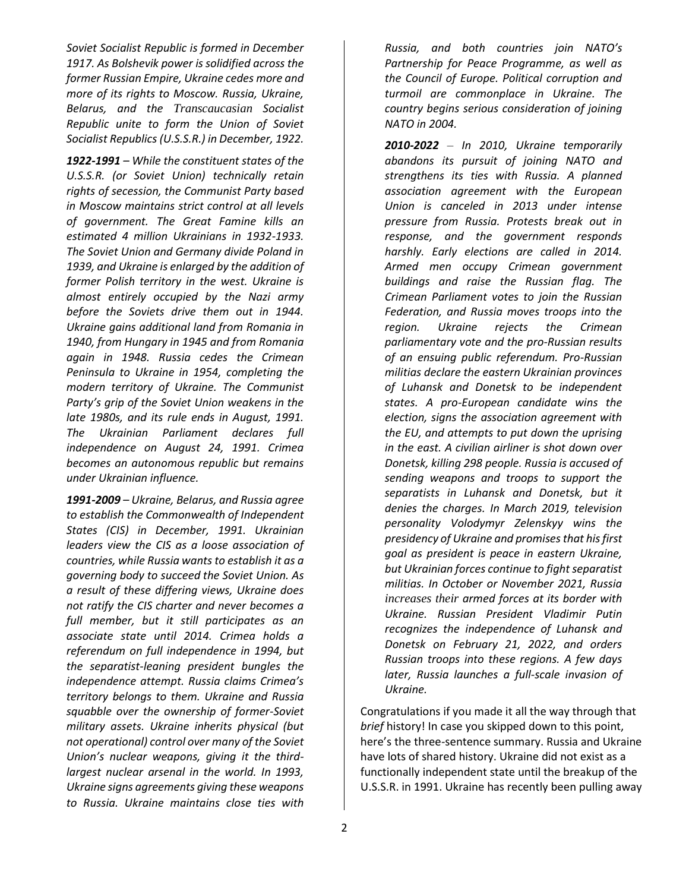*Soviet Socialist Republic is formed in December 1917. As Bolshevik power is solidified across the former Russian Empire, Ukraine cedes more and more of its rights to Moscow. Russia, Ukraine, Belarus, and the Transcaucasian Socialist Republic unite to form the Union of Soviet Socialist Republics (U.S.S.R.) in December, 1922.* 

*1922-1991 – While the constituent states of the U.S.S.R. (or Soviet Union) technically retain rights of secession, the Communist Party based in Moscow maintains strict control at all levels of government. The Great Famine kills an estimated 4 million Ukrainians in 1932-1933. The Soviet Union and Germany divide Poland in 1939, and Ukraine is enlarged by the addition of former Polish territory in the west. Ukraine is almost entirely occupied by the Nazi army before the Soviets drive them out in 1944. Ukraine gains additional land from Romania in 1940, from Hungary in 1945 and from Romania again in 1948. Russia cedes the Crimean Peninsula to Ukraine in 1954, completing the modern territory of Ukraine. The Communist Party's grip of the Soviet Union weakens in the late 1980s, and its rule ends in August, 1991. The Ukrainian Parliament declares full independence on August 24, 1991. Crimea becomes an autonomous republic but remains under Ukrainian influence.*

*1991-2009 – Ukraine, Belarus, and Russia agree to establish the Commonwealth of Independent States (CIS) in December, 1991. Ukrainian leaders view the CIS as a loose association of countries, while Russia wants to establish it as a governing body to succeed the Soviet Union. As a result of these differing views, Ukraine does not ratify the CIS charter and never becomes a full member, but it still participates as an associate state until 2014. Crimea holds a referendum on full independence in 1994, but the separatist-leaning president bungles the independence attempt. Russia claims Crimea's territory belongs to them. Ukraine and Russia squabble over the ownership of former-Soviet military assets. Ukraine inherits physical (but not operational) control over many of the Soviet Union's nuclear weapons, giving it the thirdlargest nuclear arsenal in the world. In 1993, Ukraine signs agreements giving these weapons to Russia. Ukraine maintains close ties with* 

*Russia, and both countries join NATO's Partnership for Peace Programme, as well as the Council of Europe. Political corruption and turmoil are commonplace in Ukraine. The country begins serious consideration of joining NATO in 2004.*

*2010-2022 – In 2010, Ukraine temporarily abandons its pursuit of joining NATO and strengthens its ties with Russia. A planned association agreement with the European Union is canceled in 2013 under intense pressure from Russia. Protests break out in response, and the government responds harshly. Early elections are called in 2014. Armed men occupy Crimean government buildings and raise the Russian flag. The Crimean Parliament votes to join the Russian Federation, and Russia moves troops into the region. Ukraine rejects the Crimean parliamentary vote and the pro-Russian results of an ensuing public referendum. Pro-Russian militias declare the eastern Ukrainian provinces of Luhansk and Donetsk to be independent states. A pro-European candidate wins the election, signs the association agreement with the EU, and attempts to put down the uprising in the east. A civilian airliner is shot down over Donetsk, killing 298 people. Russia is accused of sending weapons and troops to support the separatists in Luhansk and Donetsk, but it denies the charges. In March 2019, television personality Volodymyr Zelenskyy wins the presidency of Ukraine and promises that his first goal as president is peace in eastern Ukraine, but Ukrainian forces continue to fight separatist militias. In October or November 2021, Russia increases their armed forces at its border with Ukraine. Russian President Vladimir Putin recognizes the independence of Luhansk and Donetsk on February 21, 2022, and orders Russian troops into these regions. A few days later, Russia launches a full-scale invasion of Ukraine.* 

Congratulations if you made it all the way through that *brief* history! In case you skipped down to this point, here's the three-sentence summary. Russia and Ukraine have lots of shared history. Ukraine did not exist as a functionally independent state until the breakup of the U.S.S.R. in 1991. Ukraine has recently been pulling away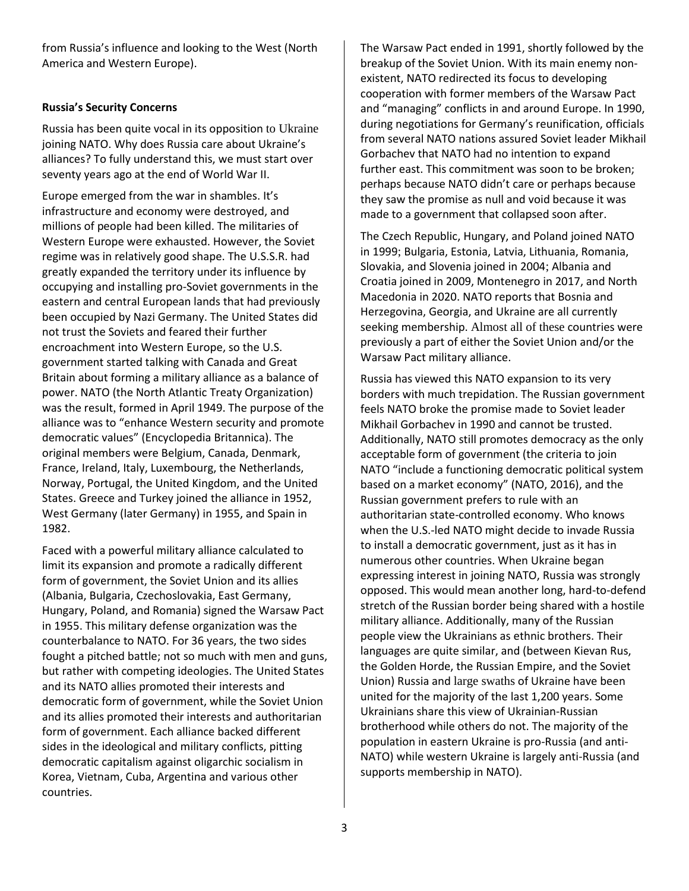from Russia's influence and looking to the West (North America and Western Europe).

# **Russia's Security Concerns**

Russia has been quite vocal in its opposition to Ukraine joining NATO. Why does Russia care about Ukraine's alliances? To fully understand this, we must start over seventy years ago at the end of World War II.

Europe emerged from the war in shambles. It's infrastructure and economy were destroyed, and millions of people had been killed. The militaries of Western Europe were exhausted. However, the Soviet regime was in relatively good shape. The U.S.S.R. had greatly expanded the territory under its influence by occupying and installing pro-Soviet governments in the eastern and central European lands that had previously been occupied by Nazi Germany. The United States did not trust the Soviets and feared their further encroachment into Western Europe, so the U.S. government started talking with Canada and Great Britain about forming a military alliance as a balance of power. NATO (the North Atlantic Treaty Organization) was the result, formed in April 1949. The purpose of the alliance was to "enhance Western security and promote democratic values" (Encyclopedia Britannica). The original members were Belgium, Canada, Denmark, France, Ireland, Italy, Luxembourg, the Netherlands, Norway, Portugal, the United Kingdom, and the United States. Greece and Turkey joined the alliance in 1952, West Germany (later Germany) in 1955, and Spain in 1982.

Faced with a powerful military alliance calculated to limit its expansion and promote a radically different form of government, the Soviet Union and its allies (Albania, Bulgaria, Czechoslovakia, East Germany, Hungary, Poland, and Romania) signed the Warsaw Pact in 1955. This military defense organization was the counterbalance to NATO. For 36 years, the two sides fought a pitched battle; not so much with men and guns, but rather with competing ideologies. The United States and its NATO allies promoted their interests and democratic form of government, while the Soviet Union and its allies promoted their interests and authoritarian form of government. Each alliance backed different sides in the ideological and military conflicts, pitting democratic capitalism against oligarchic socialism in Korea, Vietnam, Cuba, Argentina and various other countries.

The Warsaw Pact ended in 1991, shortly followed by the breakup of the Soviet Union. With its main enemy nonexistent, NATO redirected its focus to developing cooperation with former members of the Warsaw Pact and "managing" conflicts in and around Europe. In 1990, during negotiations for Germany's reunification, officials from several NATO nations assured Soviet leader Mikhail Gorbachev that NATO had no intention to expand further east. This commitment was soon to be broken; perhaps because NATO didn't care or perhaps because they saw the promise as null and void because it was made to a government that collapsed soon after.

The Czech Republic, Hungary, and Poland joined NATO in 1999; Bulgaria, Estonia, Latvia, Lithuania, Romania, Slovakia, and Slovenia joined in 2004; Albania and Croatia joined in 2009, Montenegro in 2017, and North Macedonia in 2020. NATO reports that Bosnia and Herzegovina, Georgia, and Ukraine are all currently seeking membership. Almost all of these countries were previously a part of either the Soviet Union and/or the Warsaw Pact military alliance.

Russia has viewed this NATO expansion to its very borders with much trepidation. The Russian government feels NATO broke the promise made to Soviet leader Mikhail Gorbachev in 1990 and cannot be trusted. Additionally, NATO still promotes democracy as the only acceptable form of government (the criteria to join NATO "include a functioning democratic political system based on a market economy" (NATO, 2016), and the Russian government prefers to rule with an authoritarian state-controlled economy. Who knows when the U.S.-led NATO might decide to invade Russia to install a democratic government, just as it has in numerous other countries. When Ukraine began expressing interest in joining NATO, Russia was strongly opposed. This would mean another long, hard-to-defend stretch of the Russian border being shared with a hostile military alliance. Additionally, many of the Russian people view the Ukrainians as ethnic brothers. Their languages are quite similar, and (between Kievan Rus, the Golden Horde, the Russian Empire, and the Soviet Union) Russia and large swaths of Ukraine have been united for the majority of the last 1,200 years. Some Ukrainians share this view of Ukrainian-Russian brotherhood while others do not. The majority of the population in eastern Ukraine is pro-Russia (and anti-NATO) while western Ukraine is largely anti-Russia (and supports membership in NATO).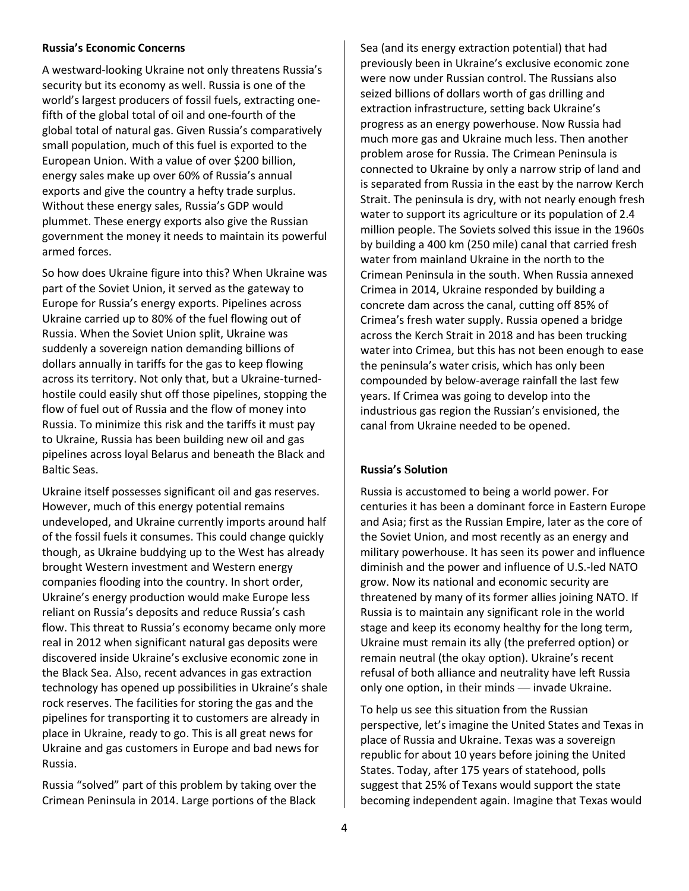#### **Russia's Economic Concerns**

A westward-looking Ukraine not only threatens Russia's security but its economy as well. Russia is one of the world's largest producers of fossil fuels, extracting onefifth of the global total of oil and one-fourth of the global total of natural gas. Given Russia's comparatively small population, much of this fuel is exported to the European Union. With a value of over \$200 billion, energy sales make up over 60% of Russia's annual exports and give the country a hefty trade surplus. Without these energy sales, Russia's GDP would plummet. These energy exports also give the Russian government the money it needs to maintain its powerful armed forces.

So how does Ukraine figure into this? When Ukraine was part of the Soviet Union, it served as the gateway to Europe for Russia's energy exports. Pipelines across Ukraine carried up to 80% of the fuel flowing out of Russia. When the Soviet Union split, Ukraine was suddenly a sovereign nation demanding billions of dollars annually in tariffs for the gas to keep flowing across its territory. Not only that, but a Ukraine-turnedhostile could easily shut off those pipelines, stopping the flow of fuel out of Russia and the flow of money into Russia. To minimize this risk and the tariffs it must pay to Ukraine, Russia has been building new oil and gas pipelines across loyal Belarus and beneath the Black and Baltic Seas.

Ukraine itself possesses significant oil and gas reserves. However, much of this energy potential remains undeveloped, and Ukraine currently imports around half of the fossil fuels it consumes. This could change quickly though, as Ukraine buddying up to the West has already brought Western investment and Western energy companies flooding into the country. In short order, Ukraine's energy production would make Europe less reliant on Russia's deposits and reduce Russia's cash flow. This threat to Russia's economy became only more real in 2012 when significant natural gas deposits were discovered inside Ukraine's exclusive economic zone in the Black Sea. Also, recent advances in gas extraction technology has opened up possibilities in Ukraine's shale rock reserves. The facilities for storing the gas and the pipelines for transporting it to customers are already in place in Ukraine, ready to go. This is all great news for Ukraine and gas customers in Europe and bad news for Russia.

Russia "solved" part of this problem by taking over the Crimean Peninsula in 2014. Large portions of the Black Sea (and its energy extraction potential) that had previously been in Ukraine's exclusive economic zone were now under Russian control. The Russians also seized billions of dollars worth of gas drilling and extraction infrastructure, setting back Ukraine's progress as an energy powerhouse. Now Russia had much more gas and Ukraine much less. Then another problem arose for Russia. The Crimean Peninsula is connected to Ukraine by only a narrow strip of land and is separated from Russia in the east by the narrow Kerch Strait. The peninsula is dry, with not nearly enough fresh water to support its agriculture or its population of 2.4 million people. The Soviets solved this issue in the 1960s by building a 400 km (250 mile) canal that carried fresh water from mainland Ukraine in the north to the Crimean Peninsula in the south. When Russia annexed Crimea in 2014, Ukraine responded by building a concrete dam across the canal, cutting off 85% of Crimea's fresh water supply. Russia opened a bridge across the Kerch Strait in 2018 and has been trucking water into Crimea, but this has not been enough to ease the peninsula's water crisis, which has only been compounded by below-average rainfall the last few years. If Crimea was going to develop into the industrious gas region the Russian's envisioned, the canal from Ukraine needed to be opened.

### **Russia's Solution**

Russia is accustomed to being a world power. For centuries it has been a dominant force in Eastern Europe and Asia; first as the Russian Empire, later as the core of the Soviet Union, and most recently as an energy and military powerhouse. It has seen its power and influence diminish and the power and influence of U.S.-led NATO grow. Now its national and economic security are threatened by many of its former allies joining NATO. If Russia is to maintain any significant role in the world stage and keep its economy healthy for the long term, Ukraine must remain its ally (the preferred option) or remain neutral (the okay option). Ukraine's recent refusal of both alliance and neutrality have left Russia only one option, in their minds — invade Ukraine.

To help us see this situation from the Russian perspective, let's imagine the United States and Texas in place of Russia and Ukraine. Texas was a sovereign republic for about 10 years before joining the United States. Today, after 175 years of statehood, polls suggest that 25% of Texans would support the state becoming independent again. Imagine that Texas would